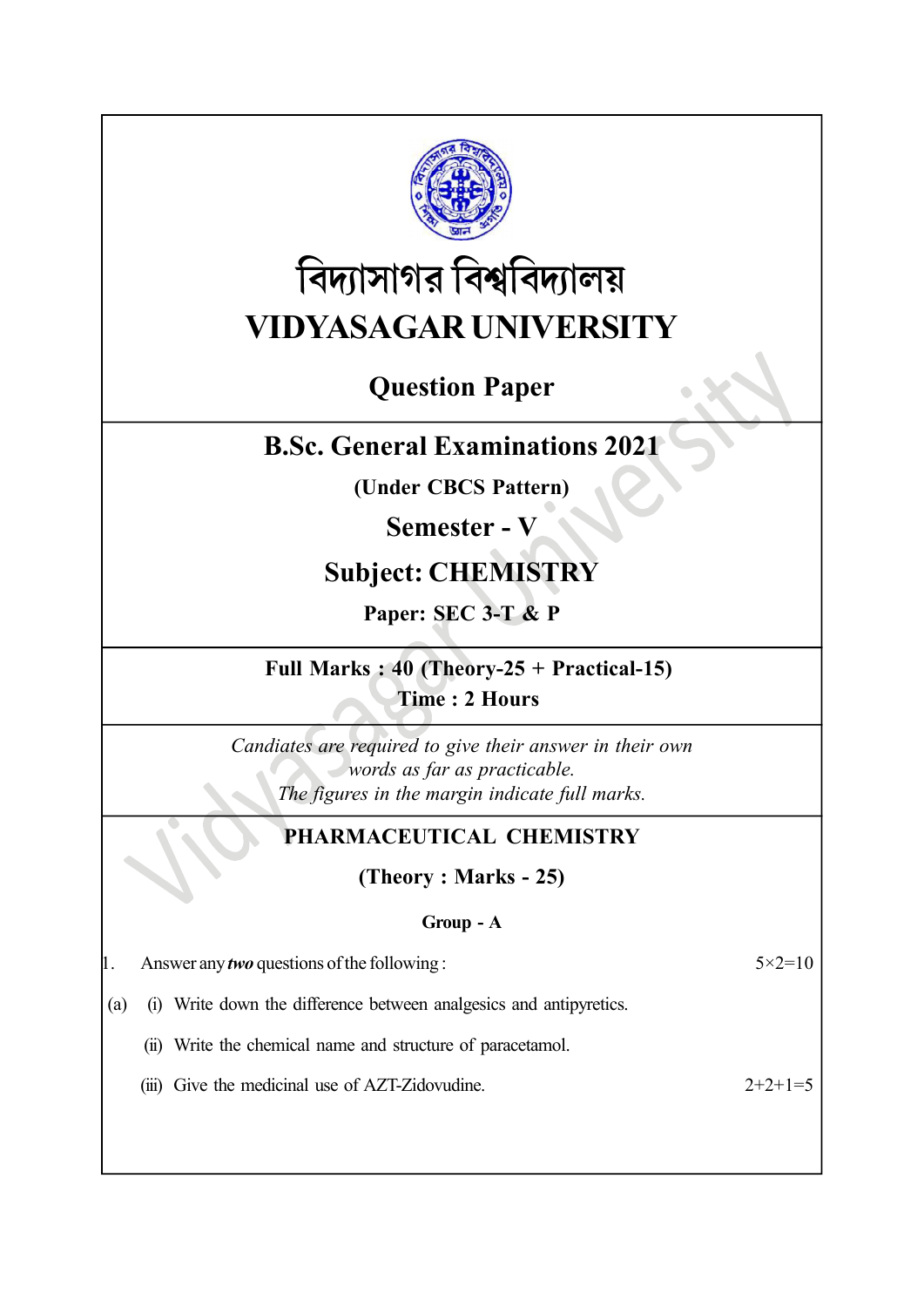

# বিদ্যাসাগর বিশ্ববিদ্যালয় VIDYASAGAR UNIVERSITY

# Question Paper

# B.Sc. General Examinations 2021

(Under CBCS Pattern)

## Semester - V

# Subject: CHEMISTRY

Paper: SEC 3-T & P

### Full Marks : 40 (Theory-25 + Practical-15) Time : 2 Hours

Candiates are required to give their answer in their own words as far as practicable. The figures in the margin indicate full marks.

### PHARMACEUTICAL CHEMISTRY

(Theory : Marks - 25)

### Group - A

| $5 \times 2 = 10$ |
|-------------------|
|                   |

(a) (i) Write down the difference between analgesics and antipyretics.

(ii) Write the chemical name and structure of paracetamol.

(iii) Give the medicinal use of AZT-Zidovudine.  $2+2+1=5$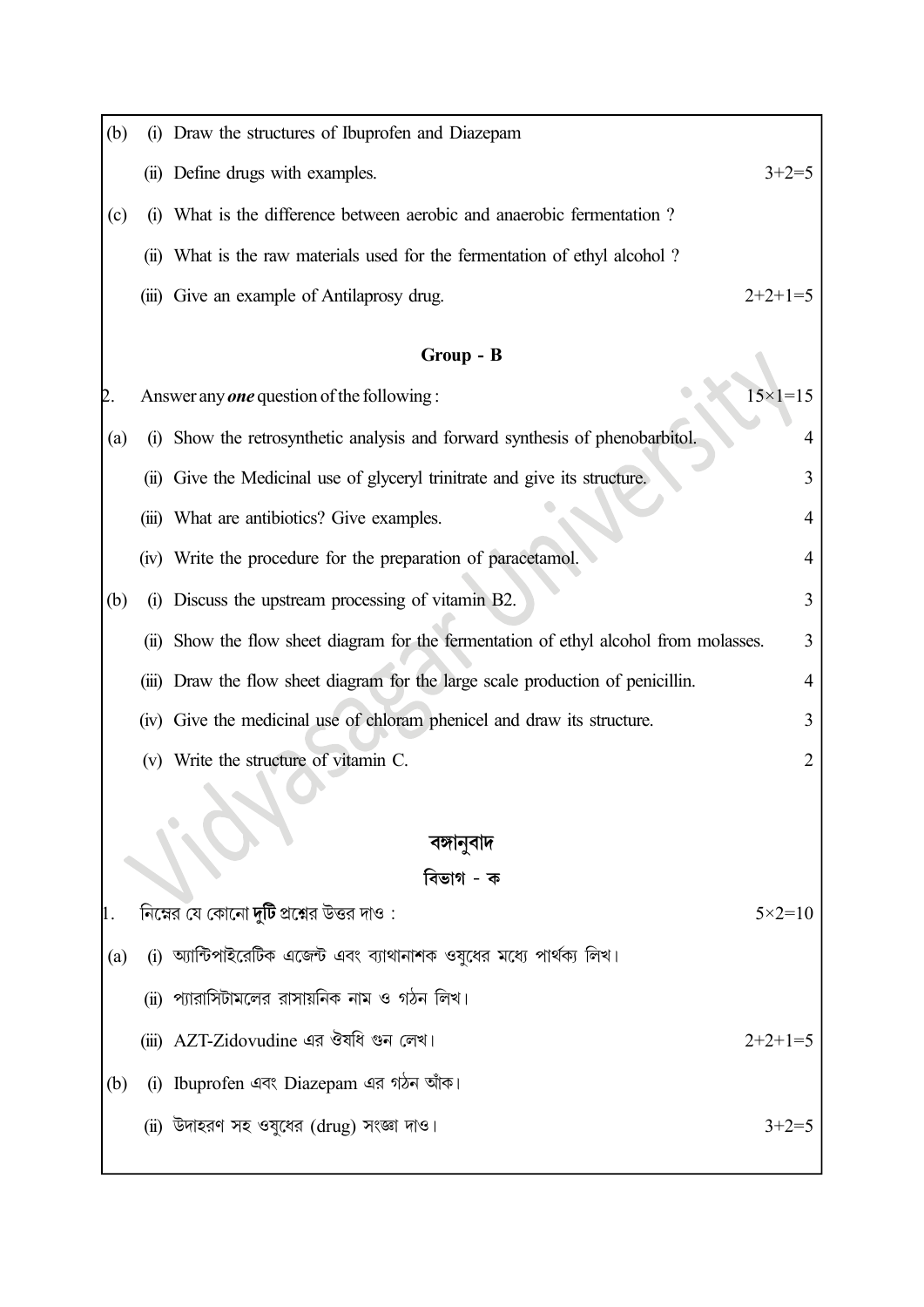| (b)        |           | (i) Draw the structures of Ibuprofen and Diazepam                                |                    |  |  |  |  |
|------------|-----------|----------------------------------------------------------------------------------|--------------------|--|--|--|--|
|            |           | (ii) Define drugs with examples.                                                 | $3+2=5$            |  |  |  |  |
| (c)        |           | (i) What is the difference between aerobic and anaerobic fermentation?           |                    |  |  |  |  |
|            |           | (ii) What is the raw materials used for the fermentation of ethyl alcohol?       |                    |  |  |  |  |
|            |           | (iii) Give an example of Antilaprosy drug.                                       | $2+2+1=5$          |  |  |  |  |
|            | Group - B |                                                                                  |                    |  |  |  |  |
| D.         |           | Answer any <b>one</b> question of the following:                                 | $15 \times 1 = 15$ |  |  |  |  |
| (a)        | (i)       | Show the retrosynthetic analysis and forward synthesis of phenobarbitol.         | 4                  |  |  |  |  |
|            |           | (ii) Give the Medicinal use of glyceryl trinitrate and give its structure.       | 3                  |  |  |  |  |
|            |           | (iii) What are antibiotics? Give examples.                                       | 4                  |  |  |  |  |
|            |           | (iv) Write the procedure for the preparation of paracetamol.                     | 4                  |  |  |  |  |
| (b)        |           | (i) Discuss the upstream processing of vitamin B2.                               | 3                  |  |  |  |  |
|            | (ii)      | Show the flow sheet diagram for the fermentation of ethyl alcohol from molasses. | 3                  |  |  |  |  |
|            |           | (iii) Draw the flow sheet diagram for the large scale production of penicillin.  | 4                  |  |  |  |  |
|            |           | (iv) Give the medicinal use of chloram phenicel and draw its structure.          | 3                  |  |  |  |  |
|            |           | (v) Write the structure of vitamin C.                                            | 2                  |  |  |  |  |
|            |           |                                                                                  |                    |  |  |  |  |
| বঙ্গানুবাদ |           |                                                                                  |                    |  |  |  |  |
| বিভাগ - ক  |           |                                                                                  |                    |  |  |  |  |
|            |           | নিম্নের যে কোনো <b>দুটি</b> প্রশ্নের উত্তর দাও $:$                               | $5 \times 2 = 10$  |  |  |  |  |
| (a)        |           | (i) অ্যান্টিপাইরেটিক এজেন্ট এবং ব্যাথানাশক ওযুধের মধ্যে পার্থক্য লিখ।            |                    |  |  |  |  |
|            |           | (ii) প্যারাসিটামলের রাসায়নিক নাম ও গঠন লিখ।                                     |                    |  |  |  |  |
|            |           | (iii) AZT-Zidovudine এর ঔষধি গুন লেখ।                                            | $2+2+1=5$          |  |  |  |  |
| (b)        |           | (i) Ibuprofen এবং Diazepam এর গঠন আঁক।                                           |                    |  |  |  |  |
|            |           | (ii) উদাহরণ সহ ওযুধের (drug) সংজ্ঞা দাও।                                         | $3+2=5$            |  |  |  |  |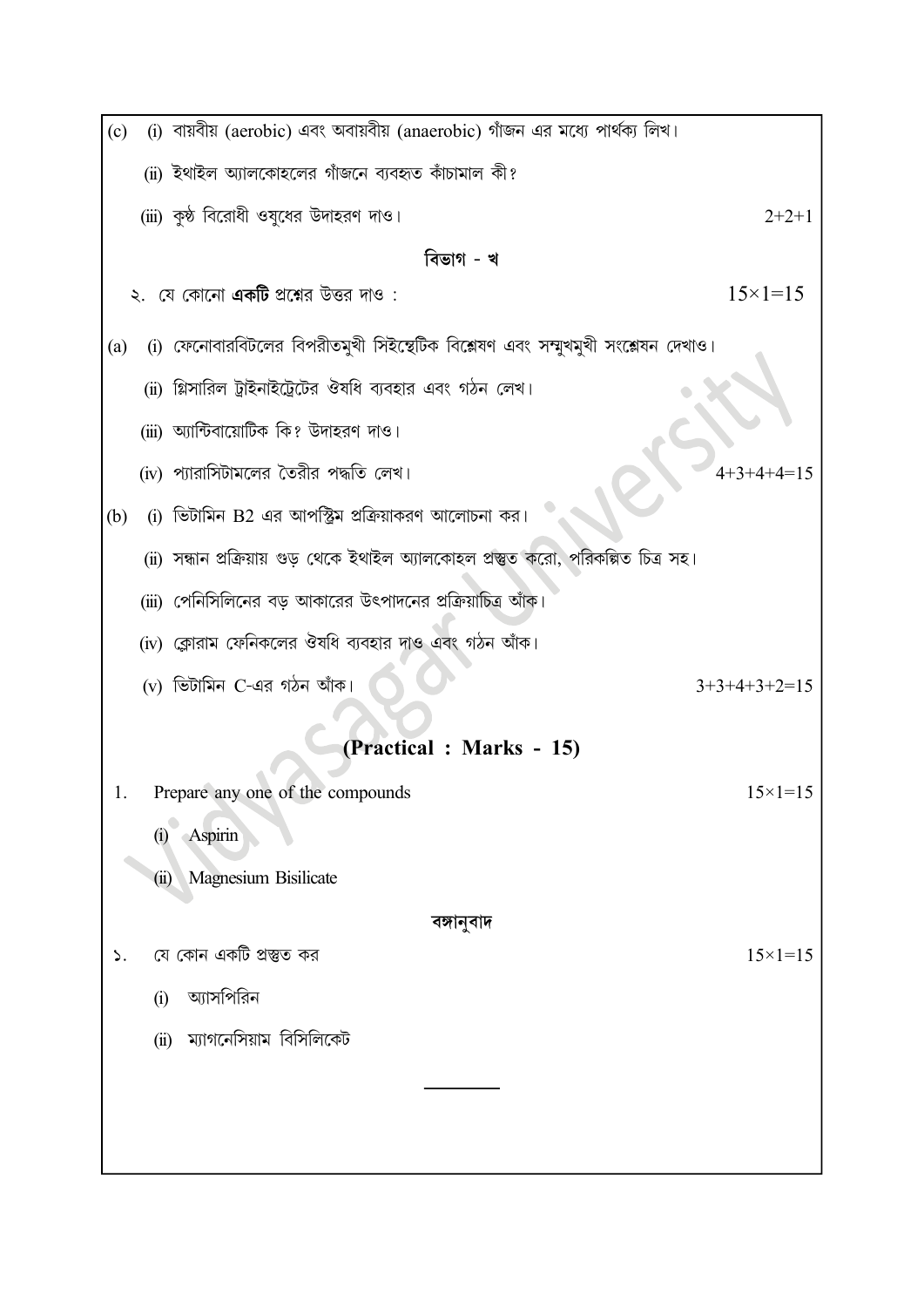| (c)                     |                       | (i) বায়বীয় (aerobic) এবং অবায়বীয় (anaerobic) গাঁজন এর মধ্যে পার্থক্য লিখ।        |                    |  |  |  |  |
|-------------------------|-----------------------|--------------------------------------------------------------------------------------|--------------------|--|--|--|--|
|                         |                       | (ii) ইথাইল অ্যালকোহলের গাঁজনে ব্যবহৃত কাঁচামাল কী?                                   |                    |  |  |  |  |
|                         |                       | (iii) কুষ্ঠ বিরোধী ওষুধের উদাহরণ দাও।                                                | $2+2+1$            |  |  |  |  |
|                         | বিভাগ - খ             |                                                                                      |                    |  |  |  |  |
|                         |                       | ২.  যে কোনো <b>একটি</b> প্রশ্নের উত্তর দাও :                                         | $15 \times 1 = 15$ |  |  |  |  |
| (a)                     |                       | (i) ফেনোবারবিটলের বিপরীতমুখী সিইন্থেটিক বিশ্লেষণ এবং সম্মুখমুখী সংশ্লেষন দেখাও।      |                    |  |  |  |  |
|                         |                       | (ii) গ্লিসারিল ট্রাইনাইট্রেটের ঔষধি ব্যবহার এবং গঠন লেখ।                             |                    |  |  |  |  |
|                         |                       | (iii) অ্যান্টিবায়োটিক কি? উদাহরণ দাও।                                               |                    |  |  |  |  |
|                         |                       | (iv) প্যারাসিটামলের তৈরীর পদ্ধতি লেখ।                                                |                    |  |  |  |  |
| (b)                     |                       | (i) ভিটামিন B2 এর আপস্ট্রিম প্রক্রিয়াকরণ আলোচনা কর।                                 |                    |  |  |  |  |
|                         |                       | (ii) সন্ধান প্রক্রিয়ায় গুড় থেকে ইথাইল অ্যালকোহল প্রস্তুত করো, পরিকল্পিত চিত্র সহ। |                    |  |  |  |  |
|                         |                       | (iii) পেনিসিলিনের বড় আকারের উৎপাদনের প্রক্রিয়াচিত্র আঁক।                           |                    |  |  |  |  |
|                         |                       | (iv) ক্লোরাম ফেনিকলের ঔষধি ব্যবহার দাও এবং গঠন আঁক।                                  |                    |  |  |  |  |
|                         |                       | $(v)$ ভিটামিন C-এর গঠন আঁক।                                                          | $3+3+4+3+2=15$     |  |  |  |  |
| (Practical: Marks - 15) |                       |                                                                                      |                    |  |  |  |  |
| 1.                      |                       | Prepare any one of the compounds                                                     | $15 \times 1 = 15$ |  |  |  |  |
|                         | $\rm \left( i\right)$ | Aspirin                                                                              |                    |  |  |  |  |
|                         | (ii)                  | Magnesium Bisilicate                                                                 |                    |  |  |  |  |
|                         | বঙ্গানুবাদ            |                                                                                      |                    |  |  |  |  |
| ۵.                      |                       | যে কোন একটি প্রস্তুত কর                                                              | $15 \times 1 = 15$ |  |  |  |  |
|                         | (i)                   | অ্যাসপিরিন                                                                           |                    |  |  |  |  |
|                         | (ii)                  | ম্যাগনেসিয়াম বিসিলিকেট                                                              |                    |  |  |  |  |
|                         |                       |                                                                                      |                    |  |  |  |  |
|                         |                       |                                                                                      |                    |  |  |  |  |
|                         |                       |                                                                                      |                    |  |  |  |  |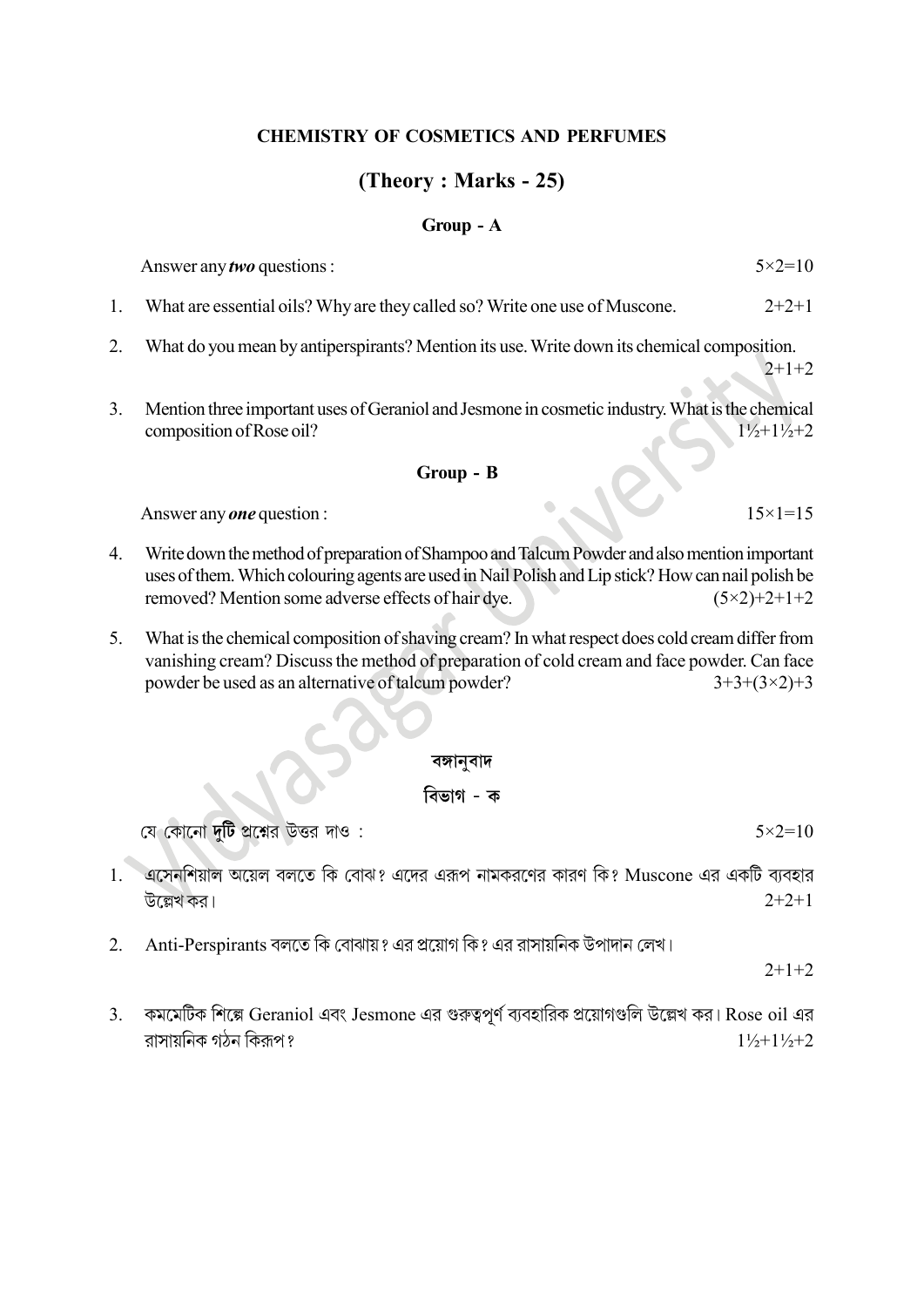#### CHEMISTRY OF COSMETICS AND PERFUMES

### (Theory : Marks - 25)

#### Group - A

Answer any *two* questions :  $5 \times 2 = 10$ 

- 1. What are essential oils? Why are they called so? Write one use of Muscone. 2+2+1
- 2. What do you mean by antiperspirants? Mention its use. Write down its chemical composition.  $2+1+2$
- 3. Mention three important uses of Geraniol and Jesmone in cosmetic industry. What is the chemical composition of Rose oil?  $1\frac{1}{2}+1\frac{1}{2}+2$

#### Group - B

Answer any *one* question :  $15\times1=15$ 

- 4. Write down the method of preparation of Shampoo and Talcum Powder and also mention important uses of them. Which colouring agents are used in Nail Polish and Lip stick? How can nail polish be removed? Mention some adverse effects of hair dye.  $(5\times2)+2+1+2$
- 5. What is the chemical composition of shaving cream? In what respect does cold cream differ from vanishing cream? Discuss the method of preparation of cold cream and face powder. Can face powder be used as an alternative of talcum powder?  $3+3+(3\times2)+3$

#### বঙ্গানুবাদ

#### বিভাগ - ক

যে কোনো **দটি** প্রশ্নের উত্তর দাও:

- 1. এসেনশিয়াল অয়েল বলতে কি বোঝ? এদের এরূপ নামকরণের কারণ কি? Muscone এর একটি ব্যবহার উল্লেখ কর।  $2+2+1$
- -2. Anti-Perspirants বলতে কি বোঝায় ? এর প্রয়োগ কি ? এর রাসায়নিক উপাদান লেখ।

 $2+1+2$ 

3. কমমেটিক শিল্পে Geraniol এবং Jesmone এর গুরুত্বপূর্ণ ব্যবহারিক প্রয়োগগুলি উল্লেখ কর। Rose oil এর রাসায়নিক গঠন কিরূপ ?  $1\frac{1}{2}+1\frac{1}{2}+2$ 

 $5 \times 2 = 10$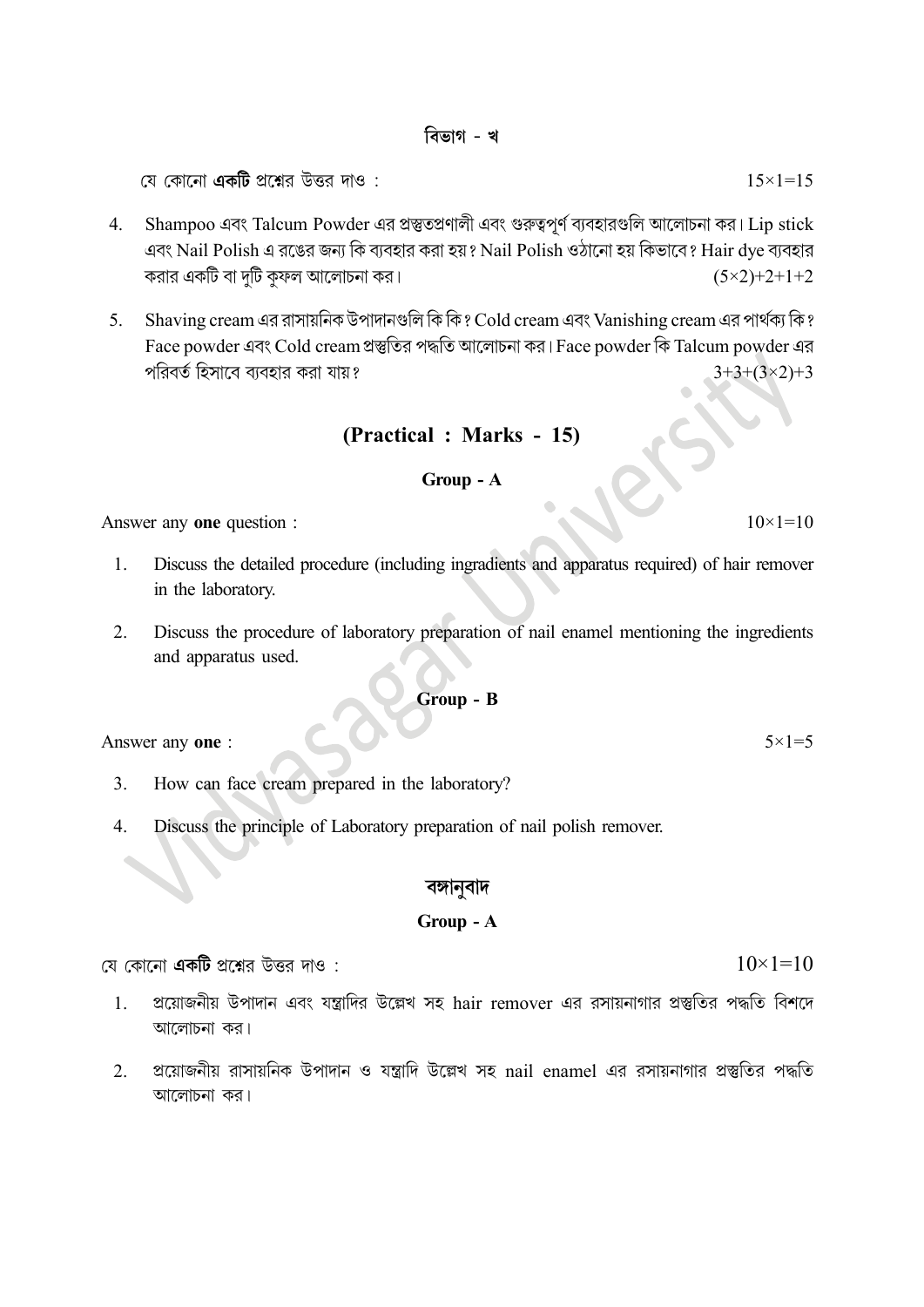#### বিভাগ - খ

যে কোনো **একটি** প্রশ্নের উত্তর দাও :

- 4. Shampoo এবং Talcum Powder এর প্রস্তুতপ্রণালী এবং গুরুত্বপূর্ণ ব্যবহারগুলি আলোচনা কর। Lip stick এবং Nail Polish এ রঙের জন্য কি ব্যবহার করা হয়? Nail Polish ওঠানো হয় কিভাবে? Hair dye ব্যবহার করার একটি বা দুটি কুফল আলোচনা কর।  $(5 \times 2) + 2 + 1 + 2$
- 5. Shaving cream এর রাসায়নিক উপাদানগুলি কি কি ? Cold cream এবং Vanishing cream এর পার্থক্য কি ? Face powder এবং Cold cream প্রস্তুতির পদ্ধতি আলোচনা কর। Face powder কি Talcum powder এর পরিবর্ত হিসাবে ব্যবহার করা যায়?  $3+3+(3\times2)+3$

### (Practical : Marks - 15)

#### Group - A

Answer any one question :  $10 \times 1 = 10$ 

- 1. Discuss the detailed procedure (including ingradients and apparatus required) of hair remover in the laboratory.
- 2. Discuss the procedure of laboratory preparation of nail enamel mentioning the ingredients and apparatus used.

#### Group - B

Answer any one :  $5 \times 1 = 5$ 

- 3. How can face cream prepared in the laboratory?
- 4. Discuss the principle of Laboratory preparation of nail polish remover.

#### বঙ্গানবাদ

#### Group - A

যে কোনো **একটি** প্রশ্নের উত্তর দাও :

- 1. প্রয়োজনীয় উপাদান এবং যন্ত্রাদির উল্লেখ সহ hair remover এর রসায়নাগার প্রস্তুতির পদ্ধতি বিশদে আলোচনা কর।
- $2.$  প্রয়োজনীয় রাসায়নিক উপাদান ও যন্ত্রাদি উল্লেখ সহ nail enamel এর রসায়নাগার প্রস্তুতির পদ্ধতি আলোচনা কর।

 $15 \times 1 = 15$ 

 $10\times1=10$